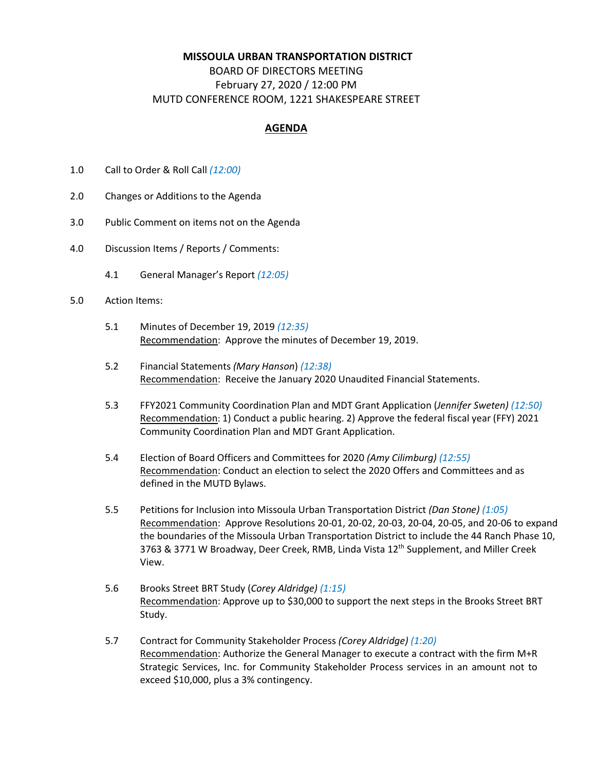## **MISSOULA URBAN TRANSPORTATION DISTRICT**

## BOARD OF DIRECTORS MEETING February 27, 2020 / 12:00 PM MUTD CONFERENCE ROOM, 1221 SHAKESPEARE STREET

## **AGENDA**

- 1.0 Call to Order & Roll Call *(12:00)*
- 2.0 Changes or Additions to the Agenda
- 3.0 Public Comment on items not on the Agenda
- 4.0 Discussion Items / Reports / Comments:
	- 4.1 General Manager's Report *(12:05)*
- 5.0 Action Items:
	- 5.1 Minutes of December 19, 2019 *(12:35)* Recommendation: Approve the minutes of December 19, 2019.
	- 5.2 Financial Statements *(Mary Hanson*) *(12:38)* Recommendation: Receive the January 2020 Unaudited Financial Statements.
	- 5.3 FFY2021 Community Coordination Plan and MDT Grant Application (*Jennifer Sweten) (12:50)* Recommendation: 1) Conduct a public hearing. 2) Approve the federal fiscal year (FFY) 2021 Community Coordination Plan and MDT Grant Application.
	- 5.4 Election of Board Officers and Committees for 2020 *(Amy Cilimburg) (12:55)* Recommendation: Conduct an election to select the 2020 Offers and Committees and as defined in the MUTD Bylaws.
	- 5.5 Petitions for Inclusion into Missoula Urban Transportation District *(Dan Stone) (1:05)* Recommendation: Approve Resolutions 20-01, 20-02, 20-03, 20-04, 20-05, and 20-06 to expand the boundaries of the Missoula Urban Transportation District to include the 44 Ranch Phase 10, 3763 & 3771 W Broadway, Deer Creek, RMB, Linda Vista 12<sup>th</sup> Supplement, and Miller Creek View.
	- 5.6 Brooks Street BRT Study (*Corey Aldridge) (1:15)* Recommendation: Approve up to \$30,000 to support the next steps in the Brooks Street BRT Study.
	- 5.7 Contract for Community Stakeholder Process *(Corey Aldridge) (1:20)* Recommendation: Authorize the General Manager to execute a contract with the firm M+R Strategic Services, Inc. for Community Stakeholder Process services in an amount not to exceed \$10,000, plus a 3% contingency.